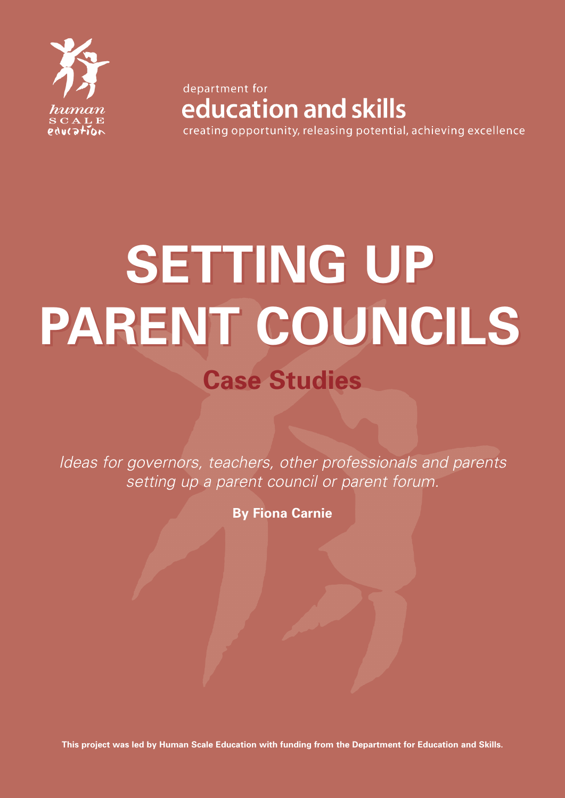

department for education and skills creating opportunity, releasing potential, achieving excellence

**SETTING UP SETTING UP PARENT COUNCILS PARENT COUNCILSCase Studies** 

*Ideas for governors, teachers, other professionals and parents setting up a parent council or parent forum.*

**By Fiona Carnie**

**This project was led by Human Scale Education with funding from the Department for Education and Skills.**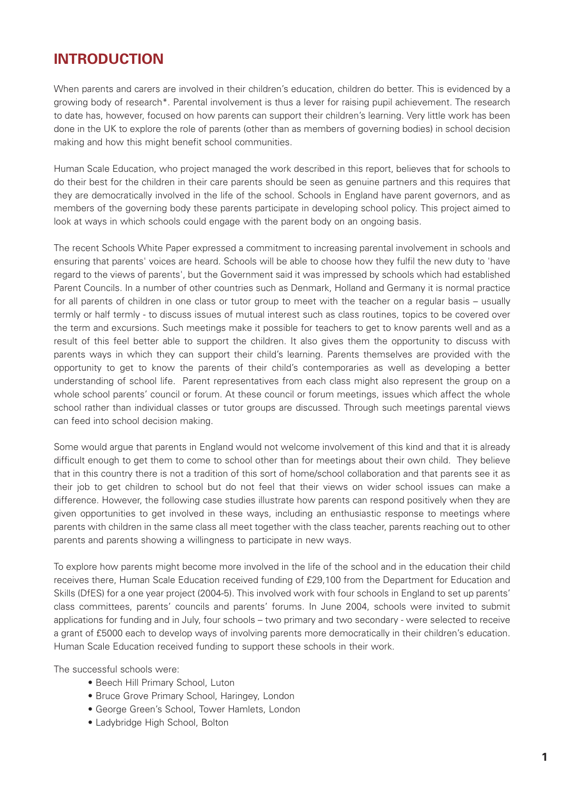# **INTRODUCTION**

When parents and carers are involved in their children's education, children do better. This is evidenced by a growing body of research<sup>\*</sup>. Parental involvement is thus a lever for raising pupil achievement. The research to date has, however, focused on how parents can support their children's learning. Very little work has been done in the UK to explore the role of parents (other than as members of governing bodies) in school decision making and how this might benefit school communities.

Human Scale Education, who project managed the work described in this report, believes that for schools to do their best for the children in their care parents should be seen as genuine partners and this requires that they are democratically involved in the life of the school. Schools in England have parent governors, and as members of the governing body these parents participate in developing school policy. This project aimed to look at ways in which schools could engage with the parent body on an ongoing basis.

The recent Schools White Paper expressed a commitment to increasing parental involvement in schools and ensuring that parents' voices are heard. Schools will be able to choose how they fulfil the new duty to 'have regard to the views of parents', but the Government said it was impressed by schools which had established Parent Councils. In a number of other countries such as Denmark, Holland and Germany it is normal practice for all parents of children in one class or tutor group to meet with the teacher on a regular basis – usually termly or half termly - to discuss issues of mutual interest such as class routines, topics to be covered over the term and excursions. Such meetings make it possible for teachers to get to know parents well and as a result of this feel better able to support the children. It also gives them the opportunity to discuss with parents ways in which they can support their child's learning. Parents themselves are provided with the opportunity to get to know the parents of their child's contemporaries as well as developing a better understanding of school life. Parent representatives from each class might also represent the group on a whole school parents' council or forum. At these council or forum meetings, issues which affect the whole school rather than individual classes or tutor groups are discussed. Through such meetings parental views can feed into school decision making.

Some would argue that parents in England would not welcome involvement of this kind and that it is already difficult enough to get them to come to school other than for meetings about their own child. They believe that in this country there is not a tradition of this sort of home/school collaboration and that parents see it as their job to get children to school but do not feel that their views on wider school issues can make a difference. However, the following case studies illustrate how parents can respond positively when they are given opportunities to get involved in these ways, including an enthusiastic response to meetings where parents with children in the same class all meet together with the class teacher, parents reaching out to other parents and parents showing a willingness to participate in new ways.

To explore how parents might become more involved in the life of the school and in the education their child receives there, Human Scale Education received funding of £29,100 from the Department for Education and Skills (DfES) for a one year project (2004-5). This involved work with four schools in England to set up parents' class committees, parents' councils and parents' forums. In June 2004, schools were invited to submit applications for funding and in July, four schools – two primary and two secondary - were selected to receive a grant of £5000 each to develop ways of involving parents more democratically in their children's education. Human Scale Education received funding to support these schools in their work.

The successful schools were:

- Beech Hill Primary School, Luton
- Bruce Grove Primary School, Haringey, London
- George Green's School, Tower Hamlets, London
- Ladybridge High School, Bolton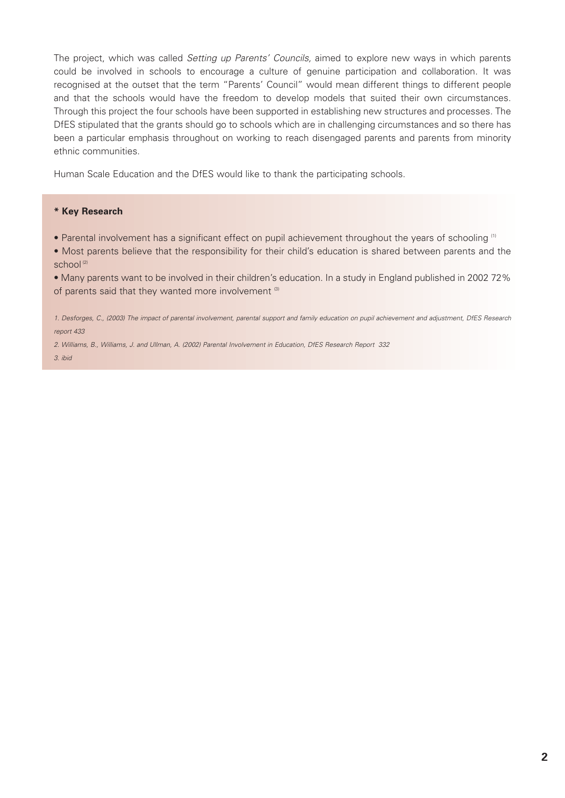The project, which was called *Setting up Parents' Councils,* aimed to explore new ways in which parents could be involved in schools to encourage a culture of genuine participation and collaboration. It was recognised at the outset that the term "Parents' Council" would mean different things to different people and that the schools would have the freedom to develop models that suited their own circumstances. Through this project the four schools have been supported in establishing new structures and processes. The DfES stipulated that the grants should go to schools which are in challenging circumstances and so there has been a particular emphasis throughout on working to reach disengaged parents and parents from minority ethnic communities.

Human Scale Education and the DfES would like to thank the participating schools.

#### **\* Key Research**

- Parental involvement has a significant effect on pupil achievement throughout the years of schooling <sup>(1)</sup>
- Most parents believe that the responsibility for their child's education is shared between parents and the school<sup>(2)</sup>

• Many parents want to be involved in their children's education. In a study in England published in 2002 72% of parents said that they wanted more involvement (3)

*1. Desforges, C., (2003) The impact of parental involvement, parental support and family education on pupil achievement and adjustment, DfES Research report 433*

*2. Williams, B., Williams, J. and Ullman, A. (2002) Parental Involvement in Education, DfES Research Report 332 3. ibid*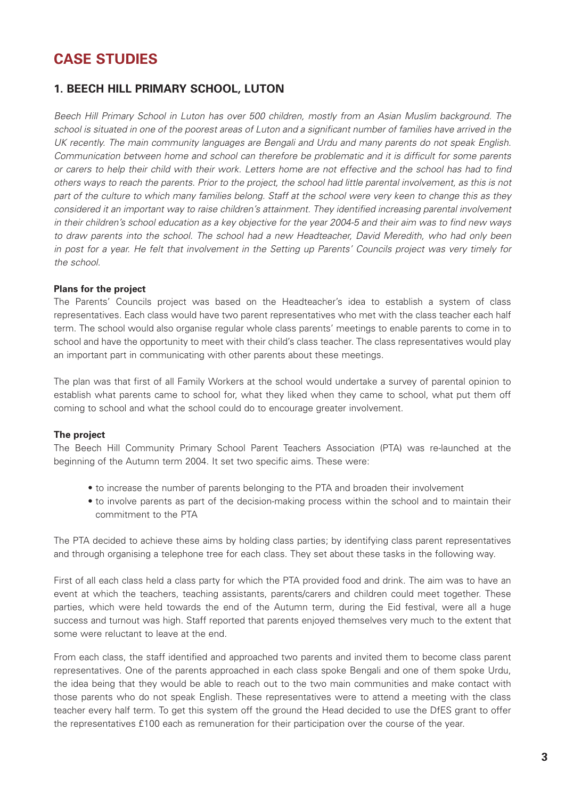# **CASE STUDIES**

# **1. BEECH HILL PRIMARY SCHOOL, LUTON**

*Beech Hill Primary School in Luton has over 500 children, mostly from an Asian Muslim background. The school is situated in one of the poorest areas of Luton and a significant number of families have arrived in the UK recently. The main community languages are Bengali and Urdu and many parents do not speak English. Communication between home and school can therefore be problematic and it is difficult for some parents or carers to help their child with their work. Letters home are not effective and the school has had to find others ways to reach the parents. Prior to the project, the school had little parental involvement, as this is not part of the culture to which many families belong. Staff at the school were very keen to change this as they considered it an important way to raise children's attainment. They identified increasing parental involvement in their children's school education as a key objective for the year 2004-5 and their aim was to find new ways to draw parents into the school. The school had a new Headteacher, David Meredith, who had only been in post for a year. He felt that involvement in the Setting up Parents' Councils project was very timely for the school.* 

#### **Plans for the project**

The Parents' Councils project was based on the Headteacher's idea to establish a system of class representatives. Each class would have two parent representatives who met with the class teacher each half term. The school would also organise regular whole class parents' meetings to enable parents to come in to school and have the opportunity to meet with their child's class teacher. The class representatives would play an important part in communicating with other parents about these meetings.

The plan was that first of all Family Workers at the school would undertake a survey of parental opinion to establish what parents came to school for, what they liked when they came to school, what put them off coming to school and what the school could do to encourage greater involvement.

#### **The project**

The Beech Hill Community Primary School Parent Teachers Association (PTA) was re-launched at the beginning of the Autumn term 2004. It set two specific aims. These were:

- to increase the number of parents belonging to the PTA and broaden their involvement
- to involve parents as part of the decision-making process within the school and to maintain their commitment to the PTA

The PTA decided to achieve these aims by holding class parties; by identifying class parent representatives and through organising a telephone tree for each class. They set about these tasks in the following way.

First of all each class held a class party for which the PTA provided food and drink. The aim was to have an event at which the teachers, teaching assistants, parents/carers and children could meet together. These parties, which were held towards the end of the Autumn term, during the Eid festival, were all a huge success and turnout was high. Staff reported that parents enjoyed themselves very much to the extent that some were reluctant to leave at the end.

From each class, the staff identified and approached two parents and invited them to become class parent representatives. One of the parents approached in each class spoke Bengali and one of them spoke Urdu, the idea being that they would be able to reach out to the two main communities and make contact with those parents who do not speak English. These representatives were to attend a meeting with the class teacher every half term. To get this system off the ground the Head decided to use the DfES grant to offer the representatives £100 each as remuneration for their participation over the course of the year.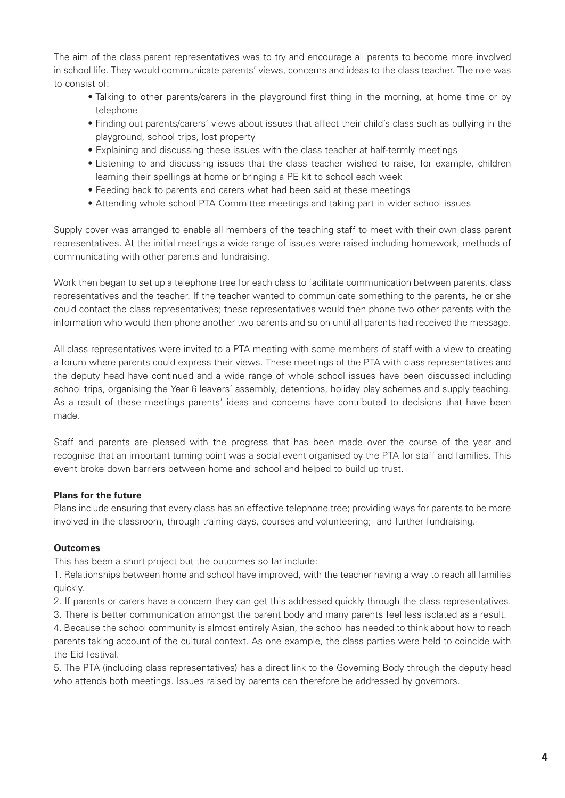The aim of the class parent representatives was to try and encourage all parents to become more involved in school life. They would communicate parents' views, concerns and ideas to the class teacher. The role was to consist of:

- Talking to other parents/carers in the playground first thing in the morning, at home time or by telephone
- Finding out parents/carers' views about issues that affect their child's class such as bullying in the playground, school trips, lost property
- Explaining and discussing these issues with the class teacher at half-termly meetings
- Listening to and discussing issues that the class teacher wished to raise, for example, children learning their spellings at home or bringing a PE kit to school each week
- Feeding back to parents and carers what had been said at these meetings
- Attending whole school PTA Committee meetings and taking part in wider school issues

Supply cover was arranged to enable all members of the teaching staff to meet with their own class parent representatives. At the initial meetings a wide range of issues were raised including homework, methods of communicating with other parents and fundraising.

Work then began to set up a telephone tree for each class to facilitate communication between parents, class representatives and the teacher. If the teacher wanted to communicate something to the parents, he or she could contact the class representatives; these representatives would then phone two other parents with the information who would then phone another two parents and so on until all parents had received the message.

All class representatives were invited to a PTA meeting with some members of staff with a view to creating a forum where parents could express their views. These meetings of the PTA with class representatives and the deputy head have continued and a wide range of whole school issues have been discussed including school trips, organising the Year 6 leavers' assembly, detentions, holiday play schemes and supply teaching. As a result of these meetings parents' ideas and concerns have contributed to decisions that have been made.

Staff and parents are pleased with the progress that has been made over the course of the year and recognise that an important turning point was a social event organised by the PTA for staff and families. This event broke down barriers between home and school and helped to build up trust.

#### **Plans for the future**

Plans include ensuring that every class has an effective telephone tree; providing ways for parents to be more involved in the classroom, through training days, courses and volunteering; and further fundraising.

#### **Outcomes**

This has been a short project but the outcomes so far include:

1. Relationships between home and school have improved, with the teacher having a way to reach all families quickly.

2. If parents or carers have a concern they can get this addressed quickly through the class representatives.

3. There is better communication amongst the parent body and many parents feel less isolated as a result.

4. Because the school community is almost entirely Asian, the school has needed to think about how to reach parents taking account of the cultural context. As one example, the class parties were held to coincide with the Eid festival.

5. The PTA (including class representatives) has a direct link to the Governing Body through the deputy head who attends both meetings. Issues raised by parents can therefore be addressed by governors.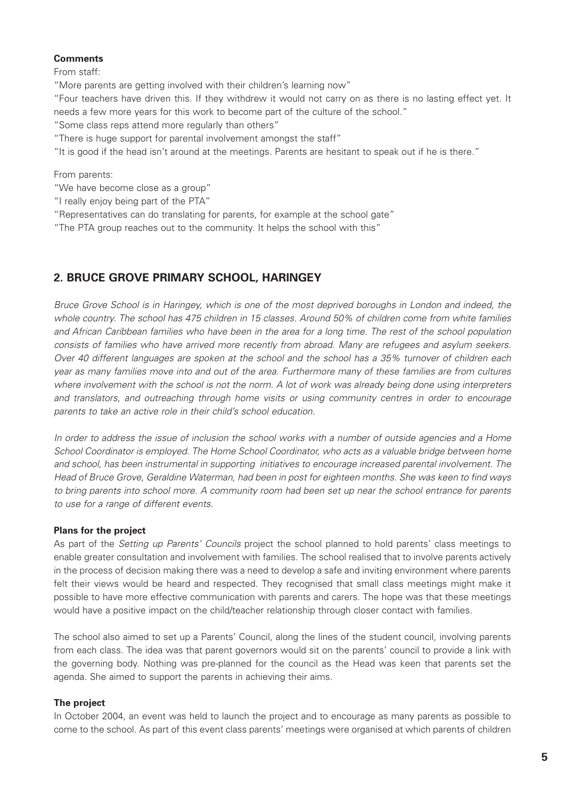## **Comments**

From staff:

"More parents are getting involved with their children's learning now"

"Four teachers have driven this. If they withdrew it would not carry on as there is no lasting effect yet. It needs a few more years for this work to become part of the culture of the school."

"Some class reps attend more regularly than others"

"There is huge support for parental involvement amongst the staff"

"It is good if the head isn't around at the meetings. Parents are hesitant to speak out if he is there."

From parents:

"We have become close as a group"

- "I really enjoy being part of the PTA"
- "Representatives can do translating for parents, for example at the school gate"

"The PTA group reaches out to the community. It helps the school with this"

# **2. BRUCE GROVE PRIMARY SCHOOL, HARINGEY**

*Bruce Grove School is in Haringey, which is one of the most deprived boroughs in London and indeed, the whole country. The school has 475 children in 15 classes. Around 50% of children come from white families and African Caribbean families who have been in the area for a long time. The rest of the school population consists of families who have arrived more recently from abroad. Many are refugees and asylum seekers. Over 40 different languages are spoken at the school and the school has a 35% turnover of children each year as many families move into and out of the area. Furthermore many of these families are from cultures where involvement with the school is not the norm. A lot of work was already being done using interpreters and translators, and outreaching through home visits or using community centres in order to encourage parents to take an active role in their child's school education.* 

*In order to address the issue of inclusion the school works with a number of outside agencies and a Home School Coordinator is employed. The Home School Coordinator, who acts as a valuable bridge between home and school, has been instrumental in supporting initiatives to encourage increased parental involvement. The Head of Bruce Grove, Geraldine Waterman, had been in post for eighteen months. She was keen to find ways to bring parents into school more. A community room had been set up near the school entrance for parents to use for a range of different events.* 

## **Plans for the project**

As part of the *Setting up Parents' Councils* project the school planned to hold parents' class meetings to enable greater consultation and involvement with families. The school realised that to involve parents actively in the process of decision making there was a need to develop a safe and inviting environment where parents felt their views would be heard and respected. They recognised that small class meetings might make it possible to have more effective communication with parents and carers. The hope was that these meetings would have a positive impact on the child/teacher relationship through closer contact with families.

The school also aimed to set up a Parents' Council, along the lines of the student council, involving parents from each class. The idea was that parent governors would sit on the parents' council to provide a link with the governing body. Nothing was pre-planned for the council as the Head was keen that parents set the agenda. She aimed to support the parents in achieving their aims.

## **The project**

In October 2004, an event was held to launch the project and to encourage as many parents as possible to come to the school. As part of this event class parents' meetings were organised at which parents of children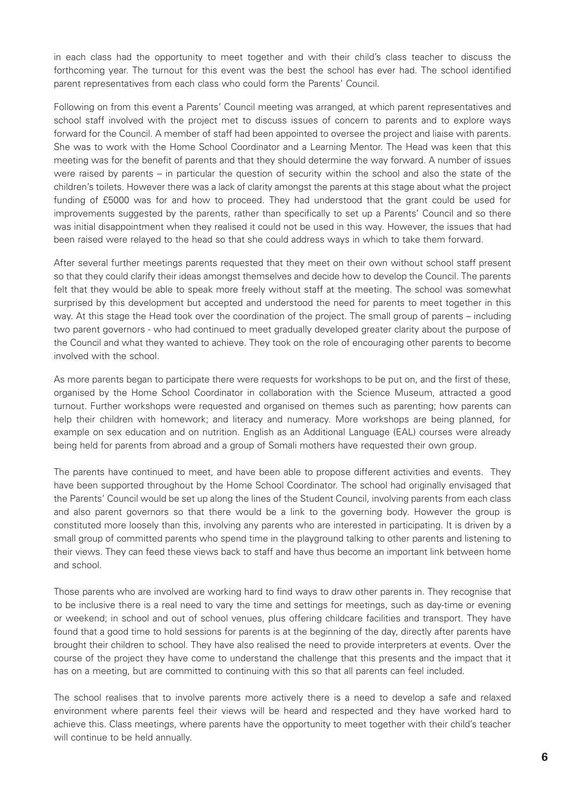in each class had the opportunity to meet together and with their child's class teacher to discuss the forthcoming year. The turnout for this event was the best the school has ever had. The school identified parent representatives from each class who could form the Parents' Council.

Following on from this event a Parents' Council meeting was arranged, at which parent representatives and school staff involved with the project met to discuss issues of concern to parents and to explore ways forward for the Council. A member of staff had been appointed to oversee the project and liaise with parents. She was to work with the Home School Coordinator and a Learning Mentor. The Head was keen that this meeting was for the benefit of parents and that they should determine the way forward. A number of issues were raised by parents – in particular the question of security within the school and also the state of the children's toilets. However there was a lack of clarity amongst the parents at this stage about what the project funding of £5000 was for and how to proceed. They had understood that the grant could be used for improvements suggested by the parents, rather than specifically to set up a Parents' Council and so there was initial disappointment when they realised it could not be used in this way. However, the issues that had been raised were relayed to the head so that she could address ways in which to take them forward.

After several further meetings parents requested that they meet on their own without school staff present so that they could clarify their ideas amongst themselves and decide how to develop the Council. The parents felt that they would be able to speak more freely without staff at the meeting. The school was somewhat surprised by this development but accepted and understood the need for parents to meet together in this way. At this stage the Head took over the coordination of the project. The small group of parents – including two parent governors - who had continued to meet gradually developed greater clarity about the purpose of the Council and what they wanted to achieve. They took on the role of encouraging other parents to become involved with the school.

As more parents began to participate there were requests for workshops to be put on, and the first of these, organised by the Home School Coordinator in collaboration with the Science Museum, attracted a good turnout. Further workshops were requested and organised on themes such as parenting; how parents can help their children with homework; and literacy and numeracy. More workshops are being planned, for example on sex education and on nutrition. English as an Additional Language (EAL) courses were already being held for parents from abroad and a group of Somali mothers have requested their own group.

The parents have continued to meet, and have been able to propose different activities and events. They have been supported throughout by the Home School Coordinator. The school had originally envisaged that the Parents' Council would be set up along the lines of the Student Council, involving parents from each class and also parent governors so that there would be a link to the governing body. However the group is constituted more loosely than this, involving any parents who are interested in participating. It is driven by a small group of committed parents who spend time in the playground talking to other parents and listening to their views. They can feed these views back to staff and have thus become an important link between home and school.

Those parents who are involved are working hard to find ways to draw other parents in. They recognise that to be inclusive there is a real need to vary the time and settings for meetings, such as day-time or evening or weekend; in school and out of school venues, plus offering childcare facilities and transport. They have found that a good time to hold sessions for parents is at the beginning of the day, directly after parents have brought their children to school. They have also realised the need to provide interpreters at events. Over the course of the project they have come to understand the challenge that this presents and the impact that it has on a meeting, but are committed to continuing with this so that all parents can feel included.

The school realises that to involve parents more actively there is a need to develop a safe and relaxed environment where parents feel their views will be heard and respected and they have worked hard to achieve this. Class meetings, where parents have the opportunity to meet together with their child's teacher will continue to be held annually.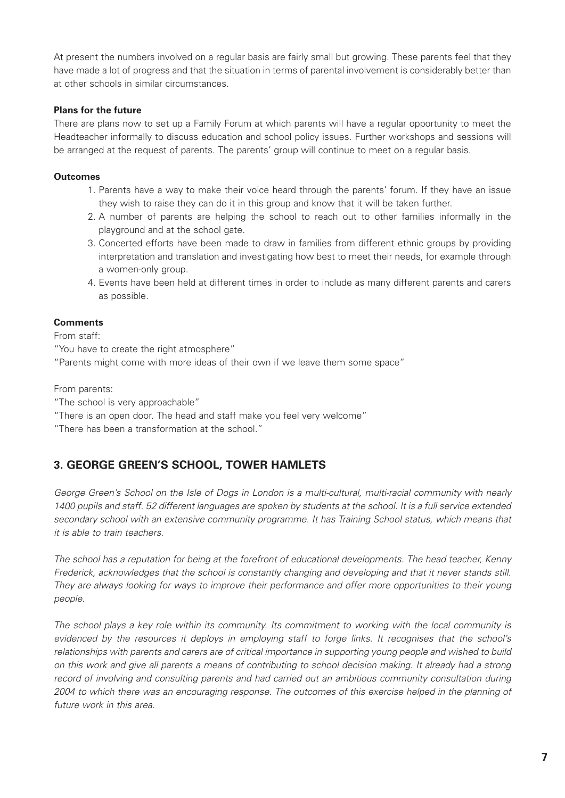At present the numbers involved on a regular basis are fairly small but growing. These parents feel that they have made a lot of progress and that the situation in terms of parental involvement is considerably better than at other schools in similar circumstances.

# **Plans for the future**

There are plans now to set up a Family Forum at which parents will have a regular opportunity to meet the Headteacher informally to discuss education and school policy issues. Further workshops and sessions will be arranged at the request of parents. The parents' group will continue to meet on a regular basis.

# **Outcomes**

- 1. Parents have a way to make their voice heard through the parents' forum. If they have an issue they wish to raise they can do it in this group and know that it will be taken further.
- 2. A number of parents are helping the school to reach out to other families informally in the playground and at the school gate.
- 3. Concerted efforts have been made to draw in families from different ethnic groups by providing interpretation and translation and investigating how best to meet their needs, for example through a women-only group.
- 4. Events have been held at different times in order to include as many different parents and carers as possible.

# **Comments**

From staff:

"You have to create the right atmosphere"

"Parents might come with more ideas of their own if we leave them some space"

From parents:

- "The school is very approachable"
- "There is an open door. The head and staff make you feel very welcome"

"There has been a transformation at the school."

# **3. GEORGE GREEN'S SCHOOL, TOWER HAMLETS**

*George Green's School on the Isle of Dogs in London is a multi-cultural, multi-racial community with nearly 1400 pupils and staff. 52 different languages are spoken by students at the school. It is a full service extended secondary school with an extensive community programme. It has Training School status, which means that it is able to train teachers.*

*The school has a reputation for being at the forefront of educational developments. The head teacher, Kenny Frederick, acknowledges that the school is constantly changing and developing and that it never stands still. They are always looking for ways to improve their performance and offer more opportunities to their young people.*

*The school plays a key role within its community. Its commitment to working with the local community is evidenced by the resources it deploys in employing staff to forge links. It recognises that the school's relationships with parents and carers are of critical importance in supporting young people and wished to build on this work and give all parents a means of contributing to school decision making. It already had a strong record of involving and consulting parents and had carried out an ambitious community consultation during 2004 to which there was an encouraging response. The outcomes of this exercise helped in the planning of future work in this area.*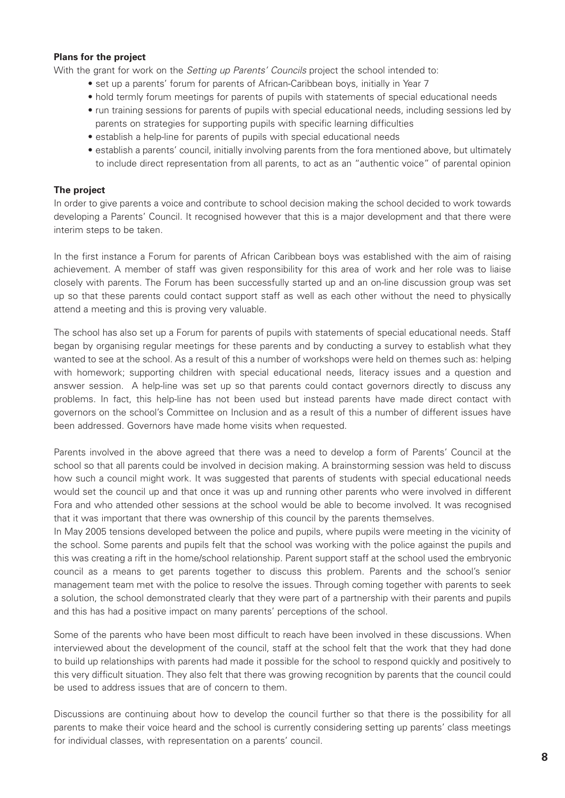#### **Plans for the project**

With the grant for work on the *Setting up Parents' Councils* project the school intended to:

- set up a parents' forum for parents of African-Caribbean boys, initially in Year 7
- hold termly forum meetings for parents of pupils with statements of special educational needs
- run training sessions for parents of pupils with special educational needs, including sessions led by parents on strategies for supporting pupils with specific learning difficulties
- establish a help-line for parents of pupils with special educational needs
- establish a parents' council, initially involving parents from the fora mentioned above, but ultimately to include direct representation from all parents, to act as an "authentic voice" of parental opinion

#### **The project**

In order to give parents a voice and contribute to school decision making the school decided to work towards developing a Parents' Council. It recognised however that this is a major development and that there were interim steps to be taken.

In the first instance a Forum for parents of African Caribbean boys was established with the aim of raising achievement. A member of staff was given responsibility for this area of work and her role was to liaise closely with parents. The Forum has been successfully started up and an on-line discussion group was set up so that these parents could contact support staff as well as each other without the need to physically attend a meeting and this is proving very valuable.

The school has also set up a Forum for parents of pupils with statements of special educational needs. Staff began by organising regular meetings for these parents and by conducting a survey to establish what they wanted to see at the school. As a result of this a number of workshops were held on themes such as: helping with homework; supporting children with special educational needs, literacy issues and a question and answer session. A help-line was set up so that parents could contact governors directly to discuss any problems. In fact, this help-line has not been used but instead parents have made direct contact with governors on the school's Committee on Inclusion and as a result of this a number of different issues have been addressed. Governors have made home visits when requested.

Parents involved in the above agreed that there was a need to develop a form of Parents' Council at the school so that all parents could be involved in decision making. A brainstorming session was held to discuss how such a council might work. It was suggested that parents of students with special educational needs would set the council up and that once it was up and running other parents who were involved in different Fora and who attended other sessions at the school would be able to become involved. It was recognised that it was important that there was ownership of this council by the parents themselves.

In May 2005 tensions developed between the police and pupils, where pupils were meeting in the vicinity of the school. Some parents and pupils felt that the school was working with the police against the pupils and this was creating a rift in the home/school relationship. Parent support staff at the school used the embryonic council as a means to get parents together to discuss this problem. Parents and the school's senior management team met with the police to resolve the issues. Through coming together with parents to seek a solution, the school demonstrated clearly that they were part of a partnership with their parents and pupils and this has had a positive impact on many parents' perceptions of the school.

Some of the parents who have been most difficult to reach have been involved in these discussions. When interviewed about the development of the council, staff at the school felt that the work that they had done to build up relationships with parents had made it possible for the school to respond quickly and positively to this very difficult situation. They also felt that there was growing recognition by parents that the council could be used to address issues that are of concern to them.

Discussions are continuing about how to develop the council further so that there is the possibility for all parents to make their voice heard and the school is currently considering setting up parents' class meetings for individual classes, with representation on a parents' council.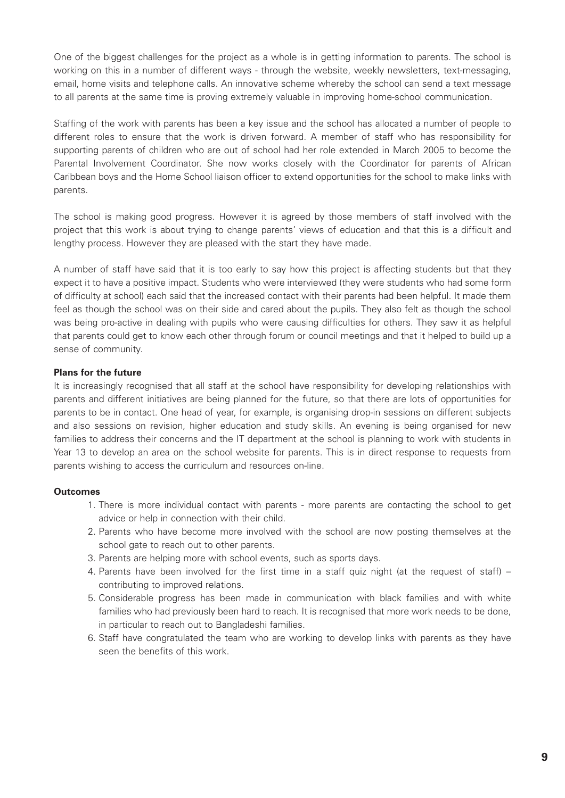One of the biggest challenges for the project as a whole is in getting information to parents. The school is working on this in a number of different ways - through the website, weekly newsletters, text-messaging, email, home visits and telephone calls. An innovative scheme whereby the school can send a text message to all parents at the same time is proving extremely valuable in improving home-school communication.

Staffing of the work with parents has been a key issue and the school has allocated a number of people to different roles to ensure that the work is driven forward. A member of staff who has responsibility for supporting parents of children who are out of school had her role extended in March 2005 to become the Parental Involvement Coordinator. She now works closely with the Coordinator for parents of African Caribbean boys and the Home School liaison officer to extend opportunities for the school to make links with parents.

The school is making good progress. However it is agreed by those members of staff involved with the project that this work is about trying to change parents' views of education and that this is a difficult and lengthy process. However they are pleased with the start they have made.

A number of staff have said that it is too early to say how this project is affecting students but that they expect it to have a positive impact. Students who were interviewed (they were students who had some form of difficulty at school) each said that the increased contact with their parents had been helpful. It made them feel as though the school was on their side and cared about the pupils. They also felt as though the school was being pro-active in dealing with pupils who were causing difficulties for others. They saw it as helpful that parents could get to know each other through forum or council meetings and that it helped to build up a sense of community.

#### **Plans for the future**

It is increasingly recognised that all staff at the school have responsibility for developing relationships with parents and different initiatives are being planned for the future, so that there are lots of opportunities for parents to be in contact. One head of year, for example, is organising drop-in sessions on different subjects and also sessions on revision, higher education and study skills. An evening is being organised for new families to address their concerns and the IT department at the school is planning to work with students in Year 13 to develop an area on the school website for parents. This is in direct response to requests from parents wishing to access the curriculum and resources on-line.

## **Outcomes**

- 1. There is more individual contact with parents more parents are contacting the school to get advice or help in connection with their child.
- 2. Parents who have become more involved with the school are now posting themselves at the school gate to reach out to other parents.
- 3. Parents are helping more with school events, such as sports days.
- 4. Parents have been involved for the first time in a staff quiz night (at the request of staff) contributing to improved relations.
- 5. Considerable progress has been made in communication with black families and with white families who had previously been hard to reach. It is recognised that more work needs to be done, in particular to reach out to Bangladeshi families.
- 6. Staff have congratulated the team who are working to develop links with parents as they have seen the benefits of this work.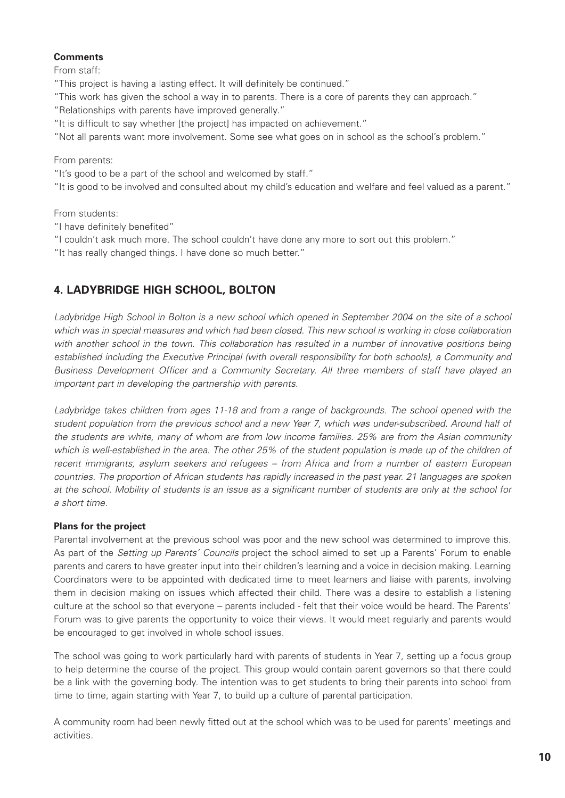# **Comments**

From staff:

"This project is having a lasting effect. It will definitely be continued."

"This work has given the school a way in to parents. There is a core of parents they can approach."

"Relationships with parents have improved generally."

"It is difficult to say whether [the project] has impacted on achievement."

"Not all parents want more involvement. Some see what goes on in school as the school's problem."

From parents:

"It's good to be a part of the school and welcomed by staff."

"It is good to be involved and consulted about my child's education and welfare and feel valued as a parent."

From students:

"I have definitely benefited"

"I couldn't ask much more. The school couldn't have done any more to sort out this problem."

"It has really changed things. I have done so much better."

# **4. LADYBRIDGE HIGH SCHOOL, BOLTON**

*Ladybridge High School in Bolton is a new school which opened in September 2004 on the site of a school which was in special measures and which had been closed. This new school is working in close collaboration with another school in the town. This collaboration has resulted in a number of innovative positions being established including the Executive Principal (with overall responsibility for both schools), a Community and Business Development Officer and a Community Secretary. All three members of staff have played an important part in developing the partnership with parents.*

*Ladybridge takes children from ages 11-18 and from a range of backgrounds. The school opened with the student population from the previous school and a new Year 7, which was under-subscribed. Around half of the students are white, many of whom are from low income families. 25% are from the Asian community which is well-established in the area. The other 25% of the student population is made up of the children of recent immigrants, asylum seekers and refugees – from Africa and from a number of eastern European countries. The proportion of African students has rapidly increased in the past year. 21 languages are spoken at the school. Mobility of students is an issue as a significant number of students are only at the school for a short time.*

# **Plans for the project**

Parental involvement at the previous school was poor and the new school was determined to improve this. As part of the *Setting up Parents' Councils* project the school aimed to set up a Parents' Forum to enable parents and carers to have greater input into their children's learning and a voice in decision making. Learning Coordinators were to be appointed with dedicated time to meet learners and liaise with parents, involving them in decision making on issues which affected their child. There was a desire to establish a listening culture at the school so that everyone – parents included - felt that their voice would be heard. The Parents' Forum was to give parents the opportunity to voice their views. It would meet regularly and parents would be encouraged to get involved in whole school issues.

The school was going to work particularly hard with parents of students in Year 7, setting up a focus group to help determine the course of the project. This group would contain parent governors so that there could be a link with the governing body. The intention was to get students to bring their parents into school from time to time, again starting with Year 7, to build up a culture of parental participation.

A community room had been newly fitted out at the school which was to be used for parents' meetings and activities.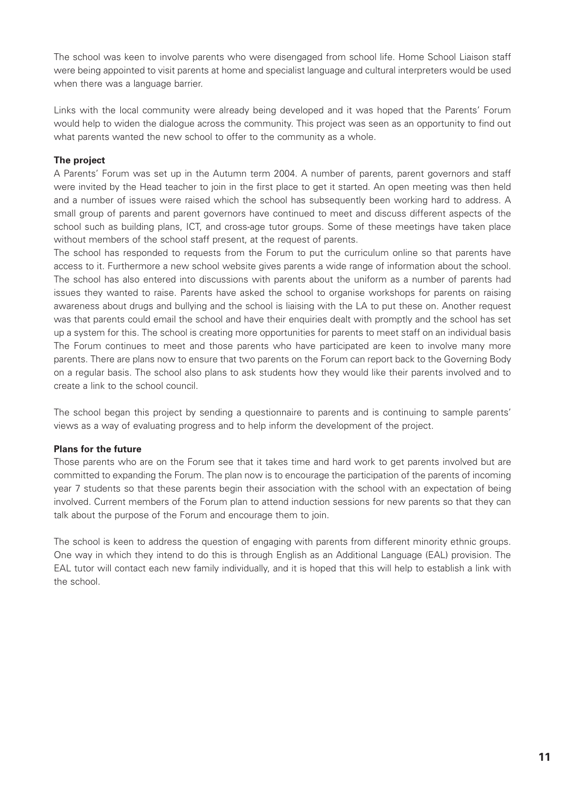The school was keen to involve parents who were disengaged from school life. Home School Liaison staff were being appointed to visit parents at home and specialist language and cultural interpreters would be used when there was a language barrier.

Links with the local community were already being developed and it was hoped that the Parents' Forum would help to widen the dialogue across the community. This project was seen as an opportunity to find out what parents wanted the new school to offer to the community as a whole.

# **The project**

A Parents' Forum was set up in the Autumn term 2004. A number of parents, parent governors and staff were invited by the Head teacher to join in the first place to get it started. An open meeting was then held and a number of issues were raised which the school has subsequently been working hard to address. A small group of parents and parent governors have continued to meet and discuss different aspects of the school such as building plans, ICT, and cross-age tutor groups. Some of these meetings have taken place without members of the school staff present, at the request of parents.

The school has responded to requests from the Forum to put the curriculum online so that parents have access to it. Furthermore a new school website gives parents a wide range of information about the school. The school has also entered into discussions with parents about the uniform as a number of parents had issues they wanted to raise. Parents have asked the school to organise workshops for parents on raising awareness about drugs and bullying and the school is liaising with the LA to put these on. Another request was that parents could email the school and have their enquiries dealt with promptly and the school has set up a system for this. The school is creating more opportunities for parents to meet staff on an individual basis The Forum continues to meet and those parents who have participated are keen to involve many more parents. There are plans now to ensure that two parents on the Forum can report back to the Governing Body on a regular basis. The school also plans to ask students how they would like their parents involved and to create a link to the school council.

The school began this project by sending a questionnaire to parents and is continuing to sample parents' views as a way of evaluating progress and to help inform the development of the project.

## **Plans for the future**

Those parents who are on the Forum see that it takes time and hard work to get parents involved but are committed to expanding the Forum. The plan now is to encourage the participation of the parents of incoming year 7 students so that these parents begin their association with the school with an expectation of being involved. Current members of the Forum plan to attend induction sessions for new parents so that they can talk about the purpose of the Forum and encourage them to join.

The school is keen to address the question of engaging with parents from different minority ethnic groups. One way in which they intend to do this is through English as an Additional Language (EAL) provision. The EAL tutor will contact each new family individually, and it is hoped that this will help to establish a link with the school.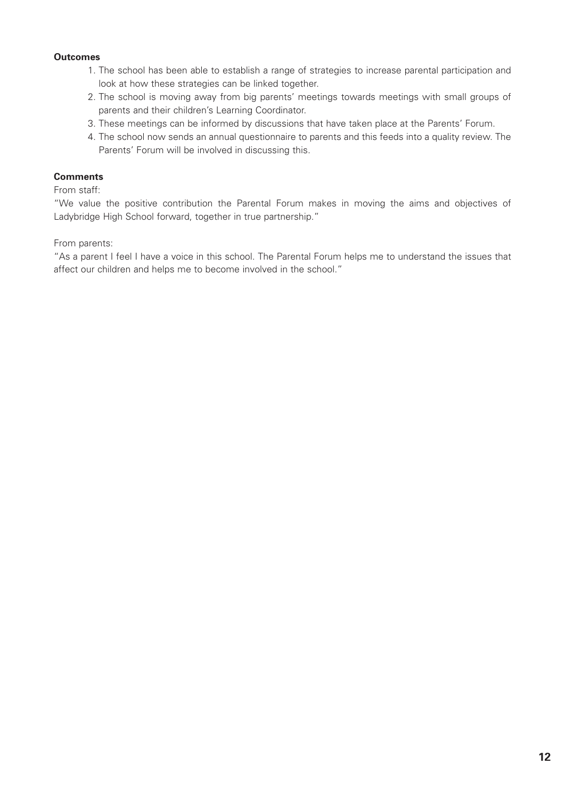### **Outcomes**

- 1. The school has been able to establish a range of strategies to increase parental participation and look at how these strategies can be linked together.
- 2. The school is moving away from big parents' meetings towards meetings with small groups of parents and their children's Learning Coordinator.
- 3. These meetings can be informed by discussions that have taken place at the Parents' Forum.
- 4. The school now sends an annual questionnaire to parents and this feeds into a quality review. The Parents' Forum will be involved in discussing this.

#### **Comments**

#### From staff:

"We value the positive contribution the Parental Forum makes in moving the aims and objectives of Ladybridge High School forward, together in true partnership."

From parents:

"As a parent I feel I have a voice in this school. The Parental Forum helps me to understand the issues that affect our children and helps me to become involved in the school."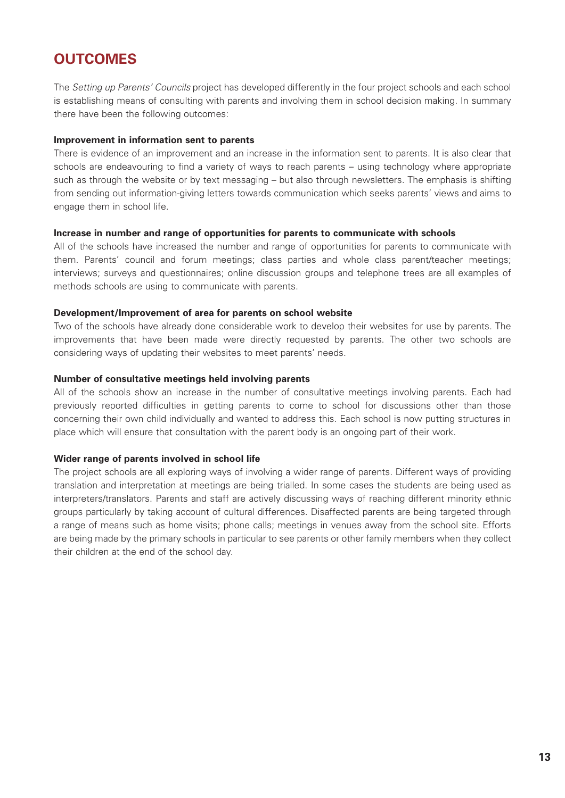# **OUTCOMES**

The *Setting up Parents' Councils* project has developed differently in the four project schools and each school is establishing means of consulting with parents and involving them in school decision making. In summary there have been the following outcomes:

#### **Improvement in information sent to parents**

There is evidence of an improvement and an increase in the information sent to parents. It is also clear that schools are endeavouring to find a variety of ways to reach parents – using technology where appropriate such as through the website or by text messaging – but also through newsletters. The emphasis is shifting from sending out information-giving letters towards communication which seeks parents' views and aims to engage them in school life.

#### **Increase in number and range of opportunities for parents to communicate with schools**

All of the schools have increased the number and range of opportunities for parents to communicate with them. Parents' council and forum meetings; class parties and whole class parent/teacher meetings; interviews; surveys and questionnaires; online discussion groups and telephone trees are all examples of methods schools are using to communicate with parents.

#### **Development/Improvement of area for parents on school website**

Two of the schools have already done considerable work to develop their websites for use by parents. The improvements that have been made were directly requested by parents. The other two schools are considering ways of updating their websites to meet parents' needs.

#### **Number of consultative meetings held involving parents**

All of the schools show an increase in the number of consultative meetings involving parents. Each had previously reported difficulties in getting parents to come to school for discussions other than those concerning their own child individually and wanted to address this. Each school is now putting structures in place which will ensure that consultation with the parent body is an ongoing part of their work.

## **Wider range of parents involved in school life**

The project schools are all exploring ways of involving a wider range of parents. Different ways of providing translation and interpretation at meetings are being trialled. In some cases the students are being used as interpreters/translators. Parents and staff are actively discussing ways of reaching different minority ethnic groups particularly by taking account of cultural differences. Disaffected parents are being targeted through a range of means such as home visits; phone calls; meetings in venues away from the school site. Efforts are being made by the primary schools in particular to see parents or other family members when they collect their children at the end of the school day.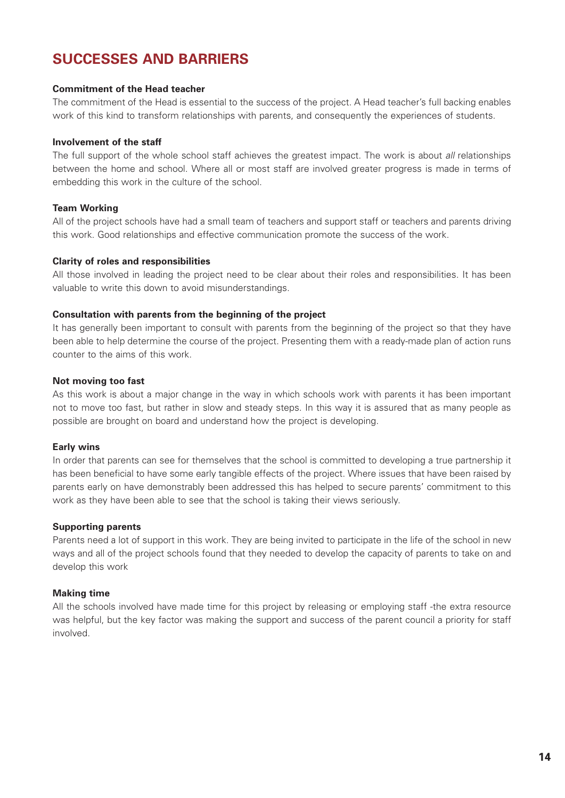# **SUCCESSES AND BARRIERS**

#### **Commitment of the Head teacher**

The commitment of the Head is essential to the success of the project. A Head teacher's full backing enables work of this kind to transform relationships with parents, and consequently the experiences of students.

#### **Involvement of the staff**

The full support of the whole school staff achieves the greatest impact. The work is about *all* relationships between the home and school. Where all or most staff are involved greater progress is made in terms of embedding this work in the culture of the school.

#### **Team Working**

All of the project schools have had a small team of teachers and support staff or teachers and parents driving this work. Good relationships and effective communication promote the success of the work.

#### **Clarity of roles and responsibilities**

All those involved in leading the project need to be clear about their roles and responsibilities. It has been valuable to write this down to avoid misunderstandings.

#### **Consultation with parents from the beginning of the project**

It has generally been important to consult with parents from the beginning of the project so that they have been able to help determine the course of the project. Presenting them with a ready-made plan of action runs counter to the aims of this work.

#### **Not moving too fast**

As this work is about a major change in the way in which schools work with parents it has been important not to move too fast, but rather in slow and steady steps. In this way it is assured that as many people as possible are brought on board and understand how the project is developing.

#### **Early wins**

In order that parents can see for themselves that the school is committed to developing a true partnership it has been beneficial to have some early tangible effects of the project. Where issues that have been raised by parents early on have demonstrably been addressed this has helped to secure parents' commitment to this work as they have been able to see that the school is taking their views seriously.

#### **Supporting parents**

Parents need a lot of support in this work. They are being invited to participate in the life of the school in new ways and all of the project schools found that they needed to develop the capacity of parents to take on and develop this work

#### **Making time**

All the schools involved have made time for this project by releasing or employing staff -the extra resource was helpful, but the key factor was making the support and success of the parent council a priority for staff involved.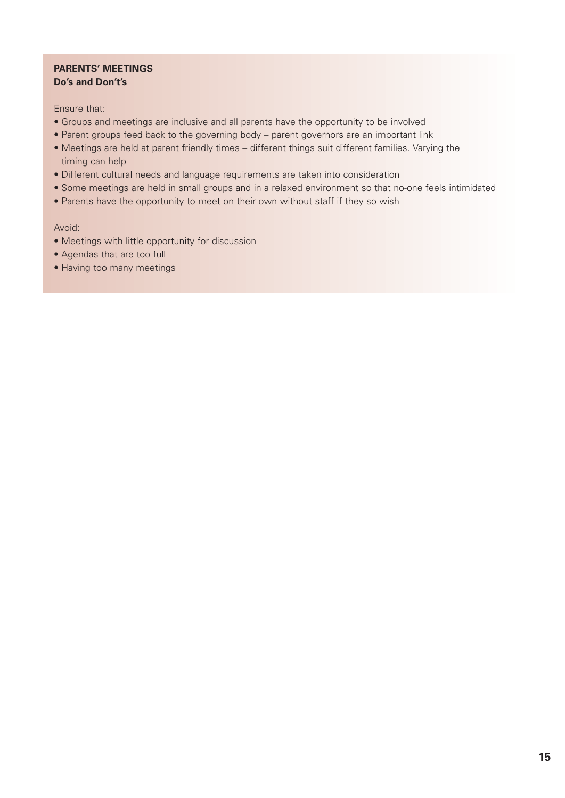# **PARENTS' MEETINGS Do's and Don't's**

Ensure that:

- Groups and meetings are inclusive and all parents have the opportunity to be involved
- Parent groups feed back to the governing body parent governors are an important link
- Meetings are held at parent friendly times different things suit different families. Varying the timing can help
- Different cultural needs and language requirements are taken into consideration
- Some meetings are held in small groups and in a relaxed environment so that no-one feels intimidated
- Parents have the opportunity to meet on their own without staff if they so wish

Avoid:

- Meetings with little opportunity for discussion
- Agendas that are too full
- Having too many meetings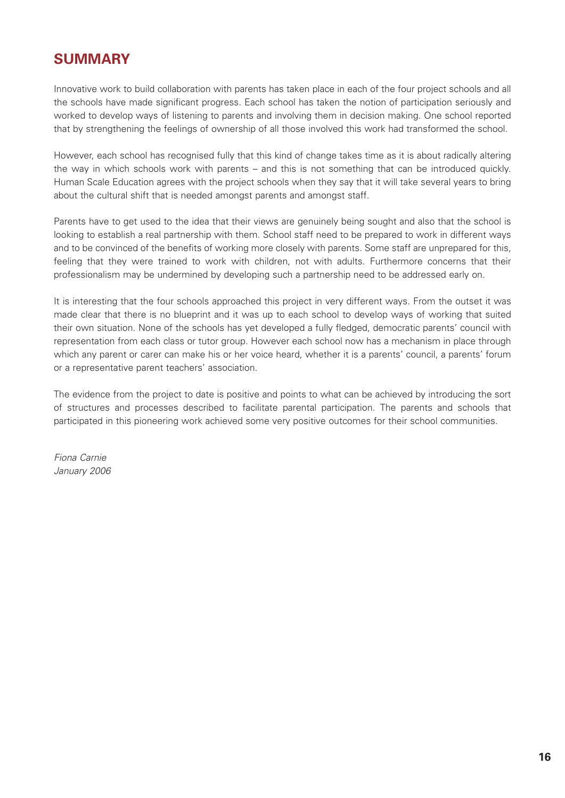# **SUMMARY**

Innovative work to build collaboration with parents has taken place in each of the four project schools and all the schools have made significant progress. Each school has taken the notion of participation seriously and worked to develop ways of listening to parents and involving them in decision making. One school reported that by strengthening the feelings of ownership of all those involved this work had transformed the school.

However, each school has recognised fully that this kind of change takes time as it is about radically altering the way in which schools work with parents – and this is not something that can be introduced quickly. Human Scale Education agrees with the project schools when they say that it will take several years to bring about the cultural shift that is needed amongst parents and amongst staff.

Parents have to get used to the idea that their views are genuinely being sought and also that the school is looking to establish a real partnership with them. School staff need to be prepared to work in different ways and to be convinced of the benefits of working more closely with parents. Some staff are unprepared for this, feeling that they were trained to work with children, not with adults. Furthermore concerns that their professionalism may be undermined by developing such a partnership need to be addressed early on.

It is interesting that the four schools approached this project in very different ways. From the outset it was made clear that there is no blueprint and it was up to each school to develop ways of working that suited their own situation. None of the schools has yet developed a fully fledged, democratic parents' council with representation from each class or tutor group. However each school now has a mechanism in place through which any parent or carer can make his or her voice heard, whether it is a parents' council, a parents' forum or a representative parent teachers' association.

The evidence from the project to date is positive and points to what can be achieved by introducing the sort of structures and processes described to facilitate parental participation. The parents and schools that participated in this pioneering work achieved some very positive outcomes for their school communities.

*Fiona Carnie January 2006*